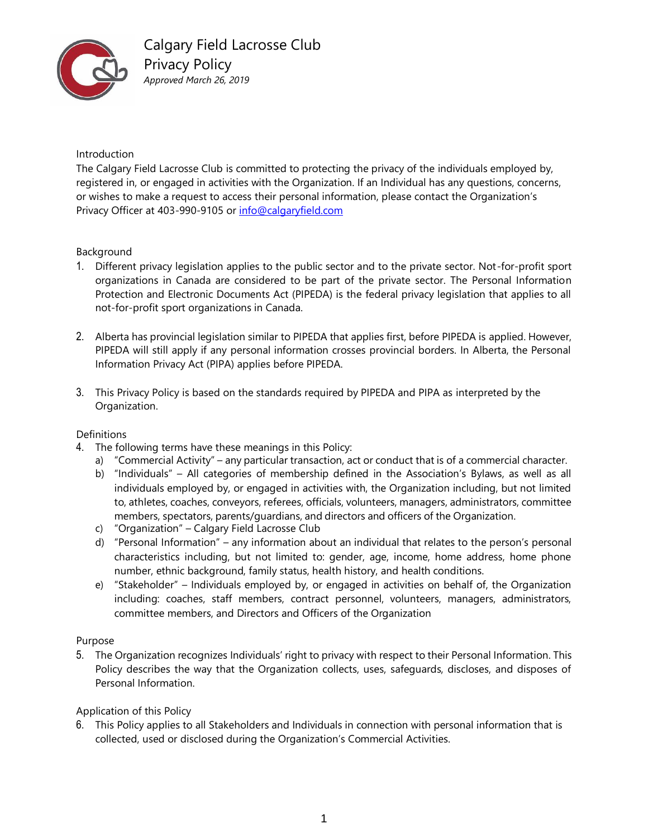

Introduction

The Calgary Field Lacrosse Club is committed to protecting the privacy of the individuals employed by, registered in, or engaged in activities with the Organization. If an Individual has any questions, concerns, or wishes to make a request to access their personal information, please contact the Organization's Privacy Officer at 403-990-9105 o[r info@calgaryfield.com](mailto:info@calgaryfield.com)

### Background

- 1. Different privacy legislation applies to the public sector and to the private sector. Not-for-profit sport organizations in Canada are considered to be part of the private sector. The Personal Information Protection and Electronic Documents Act (PIPEDA) is the federal privacy legislation that applies to all not-for-profit sport organizations in Canada.
- 2. Alberta has provincial legislation similar to PIPEDA that applies first, before PIPEDA is applied. However, PIPEDA will still apply if any personal information crosses provincial borders. In Alberta, the Personal Information Privacy Act (PIPA) applies before PIPEDA.
- 3. This Privacy Policy is based on the standards required by PIPEDA and PIPA as interpreted by the Organization.

### **Definitions**

- 4. The following terms have these meanings in this Policy:
	- a) "Commercial Activity" any particular transaction, act or conduct that is of a commercial character.
	- b) "Individuals" All categories of membership defined in the Association's Bylaws, as well as all individuals employed by, or engaged in activities with, the Organization including, but not limited to, athletes, coaches, conveyors, referees, officials, volunteers, managers, administrators, committee members, spectators, parents/guardians, and directors and officers of the Organization.
	- c) "Organization" Calgary Field Lacrosse Club
	- d) "Personal Information" any information about an individual that relates to the person's personal characteristics including, but not limited to: gender, age, income, home address, home phone number, ethnic background, family status, health history, and health conditions.
	- e) "Stakeholder" Individuals employed by, or engaged in activities on behalf of, the Organization including: coaches, staff members, contract personnel, volunteers, managers, administrators, committee members, and Directors and Officers of the Organization

### Purpose

5. The Organization recognizes Individuals' right to privacy with respect to their Personal Information. This Policy describes the way that the Organization collects, uses, safeguards, discloses, and disposes of Personal Information.

### Application of this Policy

6. This Policy applies to all Stakeholders and Individuals in connection with personal information that is collected, used or disclosed during the Organization's Commercial Activities.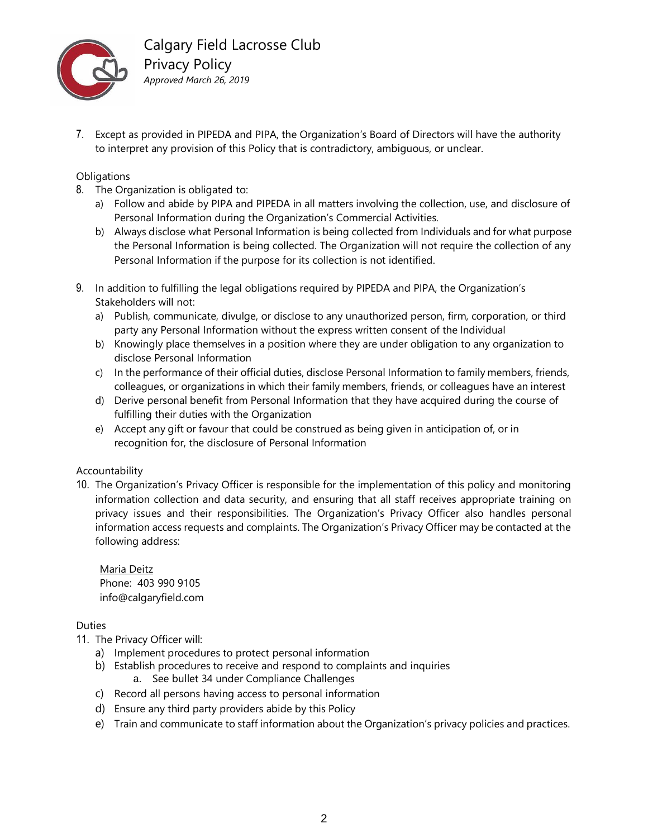

7. Except as provided in PIPEDA and PIPA, the Organization's Board of Directors will have the authority to interpret any provision of this Policy that is contradictory, ambiguous, or unclear.

### **Obligations**

- 8. The Organization is obligated to:
	- a) Follow and abide by PIPA and PIPEDA in all matters involving the collection, use, and disclosure of Personal Information during the Organization's Commercial Activities.
	- b) Always disclose what Personal Information is being collected from Individuals and for what purpose the Personal Information is being collected. The Organization will not require the collection of any Personal Information if the purpose for its collection is not identified.
- 9. In addition to fulfilling the legal obligations required by PIPEDA and PIPA, the Organization's Stakeholders will not:
	- a) Publish, communicate, divulge, or disclose to any unauthorized person, firm, corporation, or third party any Personal Information without the express written consent of the Individual
	- b) Knowingly place themselves in a position where they are under obligation to any organization to disclose Personal Information
	- c) In the performance of their official duties, disclose Personal Information to family members, friends, colleagues, or organizations in which their family members, friends, or colleagues have an interest
	- d) Derive personal benefit from Personal Information that they have acquired during the course of fulfilling their duties with the Organization
	- e) Accept any gift or favour that could be construed as being given in anticipation of, or in recognition for, the disclosure of Personal Information

### Accountability

10. The Organization's Privacy Officer is responsible for the implementation of this policy and monitoring information collection and data security, and ensuring that all staff receives appropriate training on privacy issues and their responsibilities. The Organization's Privacy Officer also handles personal information access requests and complaints. The Organization's Privacy Officer may be contacted at the following address:

Maria Deitz Phone: 403 990 9105 info@calgaryfield.com

Duties

- 11. The Privacy Officer will:
	- a) Implement procedures to protect personal information
	- b) Establish procedures to receive and respond to complaints and inquiries a. See bullet 34 under Compliance Challenges
	- c) Record all persons having access to personal information
	- d) Ensure any third party providers abide by this Policy
	- e) Train and communicate to staff information about the Organization's privacy policies and practices.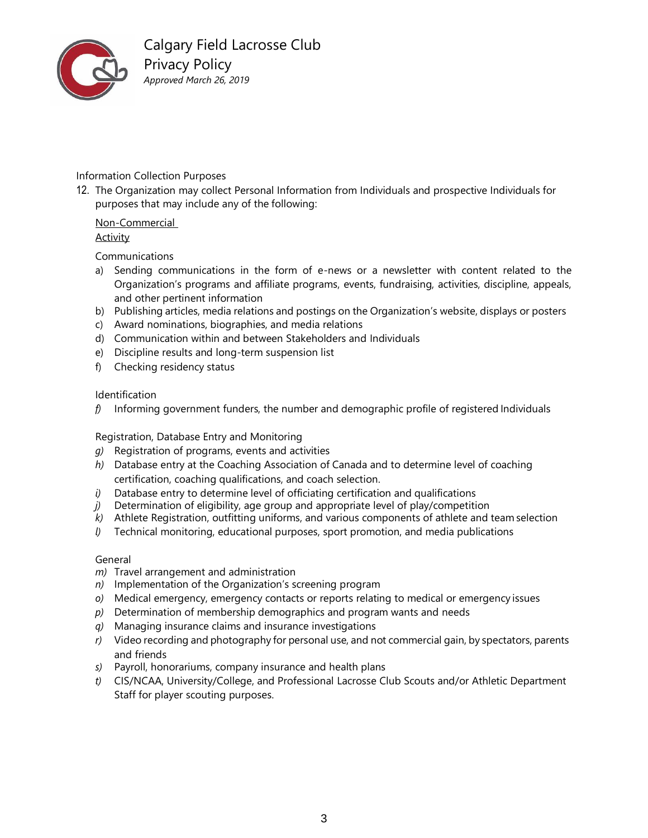

### Information Collection Purposes

12. The Organization may collect Personal Information from Individuals and prospective Individuals for purposes that may include any of the following:

#### Non-Commercial Activity

Communications

- a) Sending communications in the form of e-news or a newsletter with content related to the Organization's programs and affiliate programs, events, fundraising, activities, discipline, appeals, and other pertinent information
- b) Publishing articles, media relations and postings on the Organization's website, displays or posters
- c) Award nominations, biographies, and media relations
- d) Communication within and between Stakeholders and Individuals
- e) Discipline results and long-term suspension list
- f) Checking residency status

### Identification

*f)* Informing government funders, the number and demographic profile of registered Individuals

Registration, Database Entry and Monitoring

- *g)* Registration of programs, events and activities
- *h)* Database entry at the Coaching Association of Canada and to determine level of coaching certification, coaching qualifications, and coach selection.
- *i)* Database entry to determine level of officiating certification and qualifications
- *j)* Determination of eligibility, age group and appropriate level of play/competition
- *k)* Athlete Registration, outfitting uniforms, and various components of athlete and team selection
- *l)* Technical monitoring, educational purposes, sport promotion, and media publications

### General

- *m)* Travel arrangement and administration
- *n)* Implementation of the Organization's screening program
- *o)* Medical emergency, emergency contacts or reports relating to medical or emergency issues
- *p)* Determination of membership demographics and program wants and needs
- *q)* Managing insurance claims and insurance investigations
- *r)* Video recording and photography for personal use, and not commercial gain, by spectators, parents and friends
- *s)* Payroll, honorariums, company insurance and health plans
- *t)* CIS/NCAA, University/College, and Professional Lacrosse Club Scouts and/or Athletic Department Staff for player scouting purposes.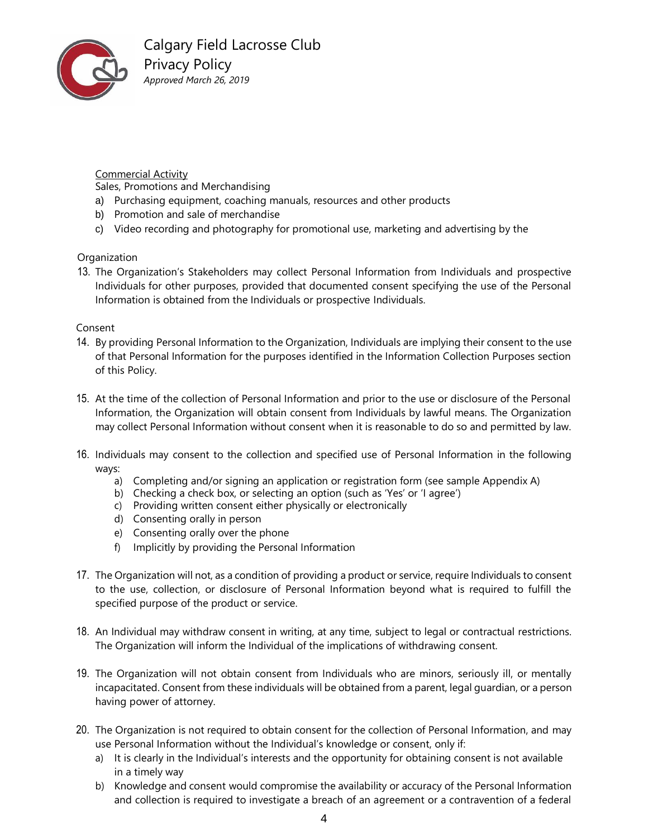

# Commercial Activity

Sales, Promotions and Merchandising

- a) Purchasing equipment, coaching manuals, resources and other products
- b) Promotion and sale of merchandise
- c) Video recording and photography for promotional use, marketing and advertising by the

### **Organization**

13. The Organization's Stakeholders may collect Personal Information from Individuals and prospective Individuals for other purposes, provided that documented consent specifying the use of the Personal Information is obtained from the Individuals or prospective Individuals.

### Consent

- 14. By providing Personal Information to the Organization, Individuals are implying their consent to the use of that Personal Information for the purposes identified in the Information Collection Purposes section of this Policy.
- 15. At the time of the collection of Personal Information and prior to the use or disclosure of the Personal Information, the Organization will obtain consent from Individuals by lawful means. The Organization may collect Personal Information without consent when it is reasonable to do so and permitted by law.
- 16. Individuals may consent to the collection and specified use of Personal Information in the following ways:
	- a) Completing and/or signing an application or registration form (see sample Appendix A)
	- b) Checking a check box, or selecting an option (such as 'Yes' or 'I agree')
	- c) Providing written consent either physically or electronically
	- d) Consenting orally in person
	- e) Consenting orally over the phone
	- f) Implicitly by providing the Personal Information
- 17. The Organization will not, as a condition of providing a product or service, require Individuals to consent to the use, collection, or disclosure of Personal Information beyond what is required to fulfill the specified purpose of the product or service.
- 18. An Individual may withdraw consent in writing, at any time, subject to legal or contractual restrictions. The Organization will inform the Individual of the implications of withdrawing consent.
- 19. The Organization will not obtain consent from Individuals who are minors, seriously ill, or mentally incapacitated. Consent from these individuals will be obtained from a parent, legal guardian, or a person having power of attorney.
- 20. The Organization is not required to obtain consent for the collection of Personal Information, and may use Personal Information without the Individual's knowledge or consent, only if:
	- a) It is clearly in the Individual's interests and the opportunity for obtaining consent is not available in a timely way
	- b) Knowledge and consent would compromise the availability or accuracy of the Personal Information and collection is required to investigate a breach of an agreement or a contravention of a federal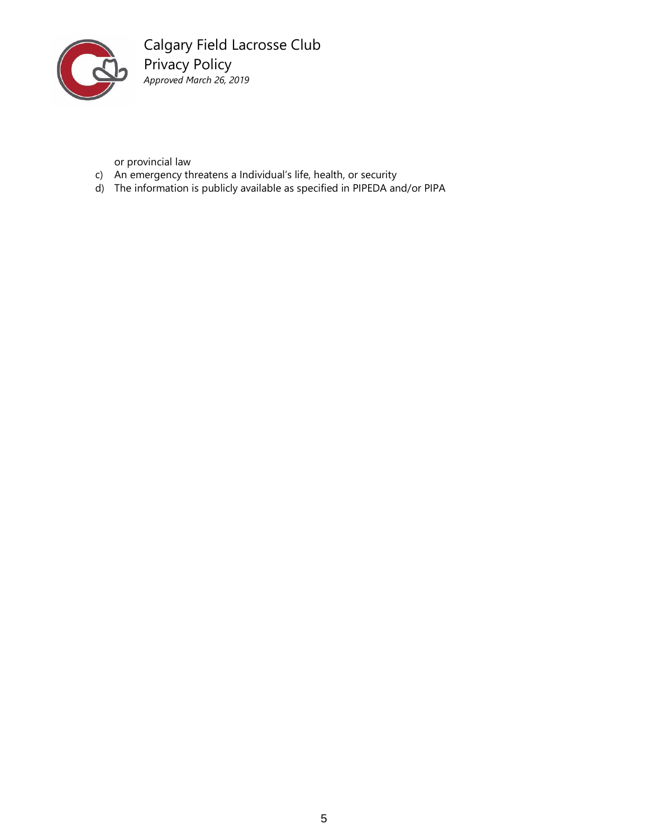

Calgary Field Lacrosse Club Privacy Policy *Approved March 26, 2019*

or provincial law

- c) An emergency threatens a Individual's life, health, or security
- d) The information is publicly available as specified in PIPEDA and/or PIPA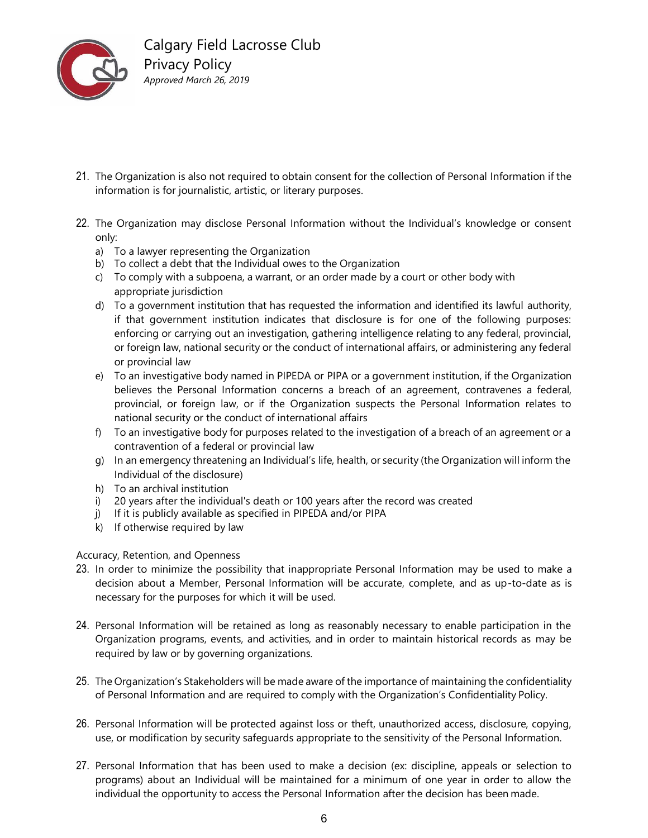

- 21. The Organization is also not required to obtain consent for the collection of Personal Information if the information is for journalistic, artistic, or literary purposes.
- 22. The Organization may disclose Personal Information without the Individual's knowledge or consent only:
	- a) To a lawyer representing the Organization
	- b) To collect a debt that the Individual owes to the Organization
	- c) To comply with a subpoena, a warrant, or an order made by a court or other body with appropriate jurisdiction
	- d) To a government institution that has requested the information and identified its lawful authority, if that government institution indicates that disclosure is for one of the following purposes: enforcing or carrying out an investigation, gathering intelligence relating to any federal, provincial, or foreign law, national security or the conduct of international affairs, or administering any federal or provincial law
	- e) To an investigative body named in PIPEDA or PIPA or a government institution, if the Organization believes the Personal Information concerns a breach of an agreement, contravenes a federal, provincial, or foreign law, or if the Organization suspects the Personal Information relates to national security or the conduct of international affairs
	- f) To an investigative body for purposes related to the investigation of a breach of an agreement or a contravention of a federal or provincial law
	- g) In an emergency threatening an Individual's life, health, or security (the Organization will inform the Individual of the disclosure)
	- h) To an archival institution
	- i) 20 years after the individual's death or 100 years after the record was created
	- j) If it is publicly available as specified in PIPEDA and/or PIPA
	- k) If otherwise required by law

### Accuracy, Retention, and Openness

- 23. In order to minimize the possibility that inappropriate Personal Information may be used to make a decision about a Member, Personal Information will be accurate, complete, and as up-to-date as is necessary for the purposes for which it will be used.
- 24. Personal Information will be retained as long as reasonably necessary to enable participation in the Organization programs, events, and activities, and in order to maintain historical records as may be required by law or by governing organizations.
- 25. The Organization's Stakeholders will be made aware of the importance of maintaining the confidentiality of Personal Information and are required to comply with the Organization's Confidentiality Policy.
- 26. Personal Information will be protected against loss or theft, unauthorized access, disclosure, copying, use, or modification by security safeguards appropriate to the sensitivity of the Personal Information.
- 27. Personal Information that has been used to make a decision (ex: discipline, appeals or selection to programs) about an Individual will be maintained for a minimum of one year in order to allow the individual the opportunity to access the Personal Information after the decision has been made.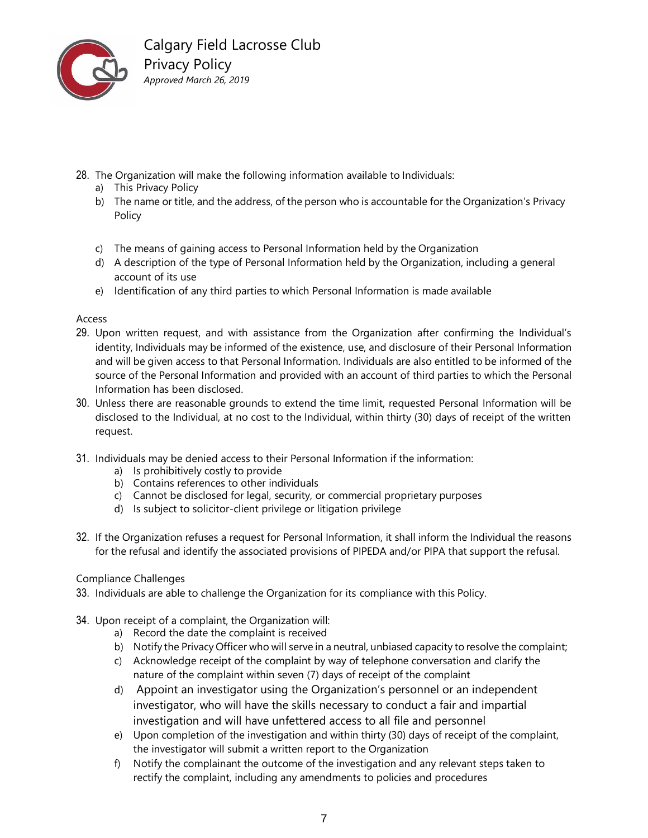

- 28. The Organization will make the following information available to Individuals:
	- a) This Privacy Policy
	- b) The name or title, and the address, of the person who is accountable for the Organization's Privacy Policy
	- c) The means of gaining access to Personal Information held by the Organization
	- d) A description of the type of Personal Information held by the Organization, including a general account of its use
	- e) Identification of any third parties to which Personal Information is made available

### Access

- 29. Upon written request, and with assistance from the Organization after confirming the Individual's identity, Individuals may be informed of the existence, use, and disclosure of their Personal Information and will be given access to that Personal Information. Individuals are also entitled to be informed of the source of the Personal Information and provided with an account of third parties to which the Personal Information has been disclosed.
- 30. Unless there are reasonable grounds to extend the time limit, requested Personal Information will be disclosed to the Individual, at no cost to the Individual, within thirty (30) days of receipt of the written request.
- 31. Individuals may be denied access to their Personal Information if the information:
	- a) Is prohibitively costly to provide
	- b) Contains references to other individuals
	- c) Cannot be disclosed for legal, security, or commercial proprietary purposes
	- d) Is subject to solicitor-client privilege or litigation privilege
- 32. If the Organization refuses a request for Personal Information, it shall inform the Individual the reasons for the refusal and identify the associated provisions of PIPEDA and/or PIPA that support the refusal.

## Compliance Challenges

- 33. Individuals are able to challenge the Organization for its compliance with this Policy.
- 34. Upon receipt of a complaint, the Organization will:
	- a) Record the date the complaint is received
	- b) Notify the Privacy Officer who will serve in a neutral, unbiased capacity to resolve the complaint;
	- c) Acknowledge receipt of the complaint by way of telephone conversation and clarify the nature of the complaint within seven (7) days of receipt of the complaint
	- d) Appoint an investigator using the Organization's personnel or an independent investigator, who will have the skills necessary to conduct a fair and impartial investigation and will have unfettered access to all file and personnel
	- e) Upon completion of the investigation and within thirty (30) days of receipt of the complaint, the investigator will submit a written report to the Organization
	- f) Notify the complainant the outcome of the investigation and any relevant steps taken to rectify the complaint, including any amendments to policies and procedures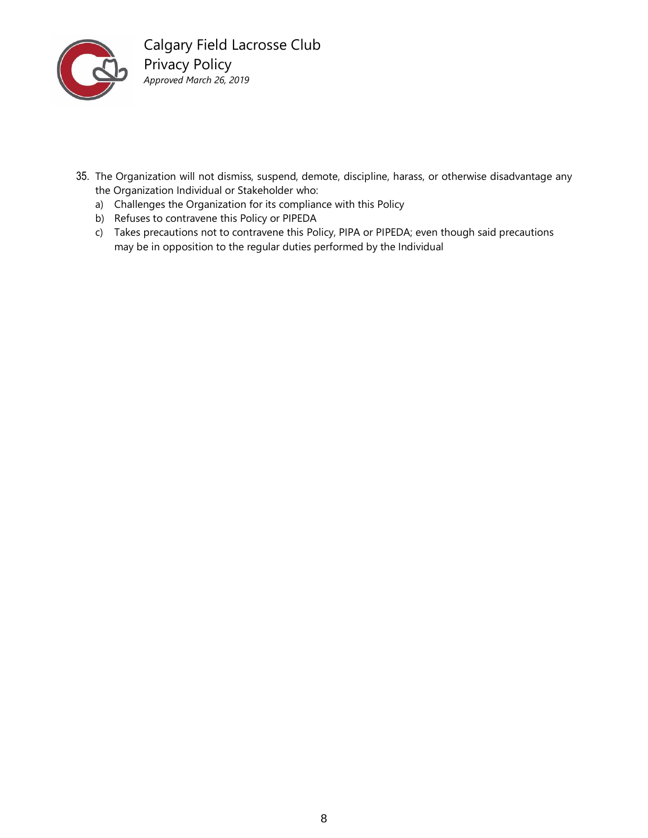

- 35. The Organization will not dismiss, suspend, demote, discipline, harass, or otherwise disadvantage any the Organization Individual or Stakeholder who:
	- a) Challenges the Organization for its compliance with this Policy
	- b) Refuses to contravene this Policy or PIPEDA
	- c) Takes precautions not to contravene this Policy, PIPA or PIPEDA; even though said precautions may be in opposition to the regular duties performed by the Individual